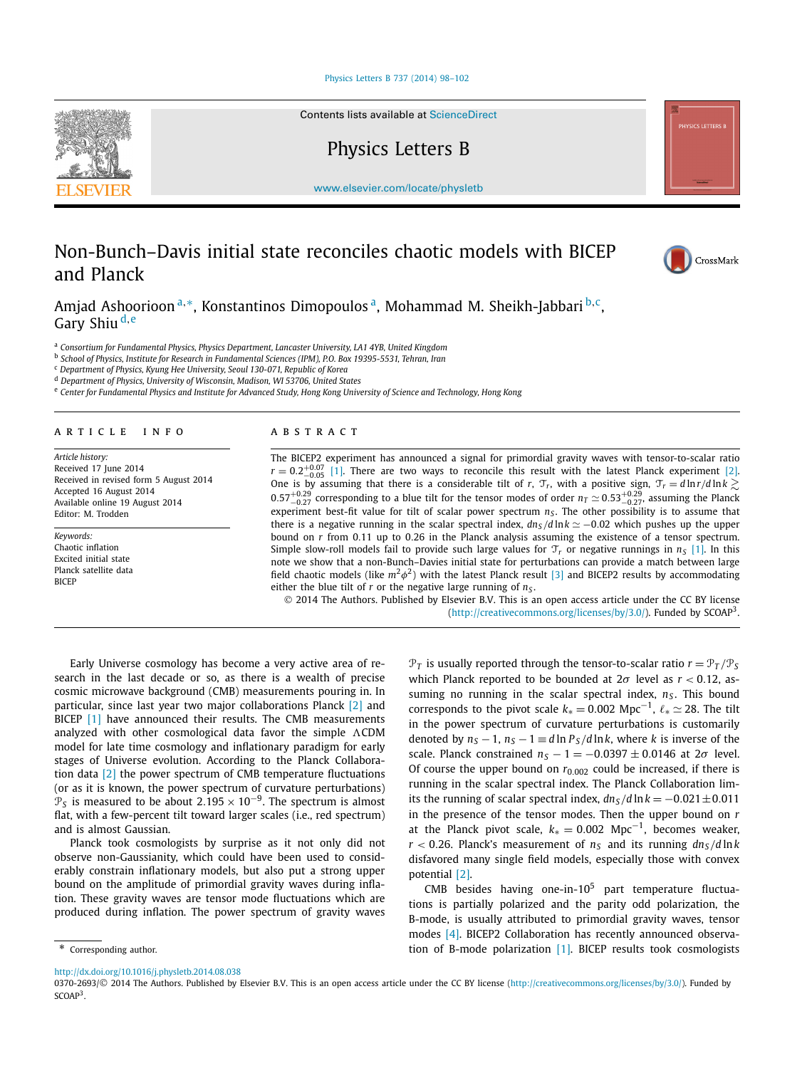#### [Physics Letters B 737 \(2014\) 98–102](http://dx.doi.org/10.1016/j.physletb.2014.08.038)

Contents lists available at [ScienceDirect](http://www.ScienceDirect.com/)

Physics Letters B

[www.elsevier.com/locate/physletb](http://www.elsevier.com/locate/physletb)

# Non-Bunch–Davis initial state reconciles chaotic models with BICEP and Planck

Amjad Ashoorioon <sup>a</sup>*,*∗, Konstantinos Dimopoulos a, Mohammad M. Sheikh-Jabbari <sup>b</sup>*,*c, Gary Shiu <sup>d</sup>*,*<sup>e</sup>

<sup>a</sup> *Consortium for Fundamental Physics, Physics Department, Lancaster University, LA1 4YB, United Kingdom*

<sup>b</sup> *School of Physics, Institute for Research in Fundamental Sciences (IPM), P.O. Box 19395-5531, Tehran, Iran*

<sup>c</sup> *Department of Physics, Kyung Hee University, Seoul 130-071, Republic of Korea*

<sup>d</sup> *Department of Physics, University of Wisconsin, Madison, WI 53706, United States*

e Center for Fundamental Physics and Institute for Advanced Study, Hong Kong University of Science and Technology, Hong Kong

### A R T I C L E I N F O A B S T R A C T

*Article history:* Received 17 June 2014 Received in revised form 5 August 2014 Accepted 16 August 2014 Available online 19 August 2014 Editor: M. Trodden

*Keywords:* Chaotic inflation Excited initial state Planck satellite data **BICEP** 

The BICEP2 experiment has announced a signal for primordial gravity waves with tensor-to-scalar ratio  $r = 0.2^{+0.07}_{-0.05}$  [\[1\].](#page-4-0) There are two ways to reconcile this result with the latest Planck experiment [\[2\].](#page-4-0) One is by assuming that there is a considerable tilt of *r*,  $\mathcal{T}_r$ , with a positive sign,  $\mathcal{T}_r = d \ln r / d \ln k \gtrsim$  $0.57^{+0.29}_{-0.27}$  corresponding to a blue tilt for the tensor modes of order  $n_T \simeq 0.53^{+0.29}_{-0.27}$ , assuming the Planck experiment best-fit value for tilt of scalar power spectrum  $n<sub>S</sub>$ . The other possibility is to assume that there is a negative running in the scalar spectral index,  $d n_S/d \ln k \simeq -0.02$  which pushes up the upper bound on *r* from 0*.*11 up to 0*.*26 in the Planck analysis assuming the existence of a tensor spectrum. Simple slow-roll models fail to provide such large values for  $\mathcal{T}_r$  or negative runnings in  $n_s$  [\[1\].](#page-4-0) In this note we show that a non-Bunch–Davies initial state for perturbations can provide a match between large field chaotic models (like  $m^2\phi^2$ ) with the latest Planck result [\[3\]](#page-4-0) and BICEP2 results by accommodating either the blue tilt of *r* or the negative large running of  $n<sub>S</sub>$ .

© 2014 The Authors. Published by Elsevier B.V. This is an open access article under the CC BY license [\(http://creativecommons.org/licenses/by/3.0/\)](http://creativecommons.org/licenses/by/3.0/). Funded by  $SCOAP<sup>3</sup>$ .

Early Universe cosmology has become a very active area of research in the last decade or so, as there is a wealth of precise cosmic microwave background (CMB) measurements pouring in. In particular, since last year two major collaborations Planck [\[2\]](#page-4-0) and BICEP [\[1\]](#page-4-0) have announced their results. The CMB measurements analyzed with other cosmological data favor the simple  $\Lambda$ CDM model for late time cosmology and inflationary paradigm for early stages of Universe evolution. According to the Planck Collaboration data [\[2\]](#page-4-0) the power spectrum of CMB temperature fluctuations (or as it is known, the power spectrum of curvature perturbations)  $\mathcal{P}_S$  is measured to be about 2.195 × 10<sup>-9</sup>. The spectrum is almost flat, with a few-percent tilt toward larger scales (i.e., red spectrum) and is almost Gaussian.

Planck took cosmologists by surprise as it not only did not observe non-Gaussianity, which could have been used to considerably constrain inflationary models, but also put a strong upper bound on the amplitude of primordial gravity waves during inflation. These gravity waves are tensor mode fluctuations which are produced during inflation. The power spectrum of gravity waves

 $\mathcal{P}_T$  is usually reported through the tensor-to-scalar ratio  $r = \mathcal{P}_T / \mathcal{P}_S$ which Planck reported to be bounded at 2*σ* level as *r <* 0*.*12, assuming no running in the scalar spectral index,  $n<sub>S</sub>$ . This bound corresponds to the pivot scale  $k_* = 0.002$  Mpc<sup>-1</sup>,  $\ell_* \simeq 28$ . The tilt in the power spectrum of curvature perturbations is customarily denoted by  $n_S - 1$ ,  $n_S - 1 \equiv d \ln P_S / d \ln k$ , where *k* is inverse of the scale. Planck constrained  $n_S - 1 = -0.0397 \pm 0.0146$  at  $2\sigma$  level. Of course the upper bound on  $r_{0.002}$  could be increased, if there is running in the scalar spectral index. The Planck Collaboration limits the running of scalar spectral index,  $dn<sub>S</sub>/d \ln k = -0.021 \pm 0.011$ in the presence of the tensor modes. Then the upper bound on *r* at the Planck pivot scale,  $k<sub>∗</sub> = 0.002$  Mpc<sup>-1</sup>, becomes weaker,  $r$  < 0.26. Planck's measurement of  $n<sub>s</sub>$  and its running  $dn<sub>s</sub>/d ln k$ disfavored many single field models, especially those with convex potential [\[2\].](#page-4-0)

CMB besides having one-in- $10^5$  part temperature fluctuations is partially polarized and the parity odd polarization, the B-mode, is usually attributed to primordial gravity waves, tensor modes [\[4\].](#page-4-0) BICEP2 Collaboration has recently announced observation of B-mode polarization [\[1\].](#page-4-0) BICEP results took cosmologists

\* Corresponding author.

0370-2693/© 2014 The Authors. Published by Elsevier B.V. This is an open access article under the CC BY license [\(http://creativecommons.org/licenses/by/3.0/\)](http://creativecommons.org/licenses/by/3.0/). Funded by SCOAP<sup>3</sup>.







<http://dx.doi.org/10.1016/j.physletb.2014.08.038>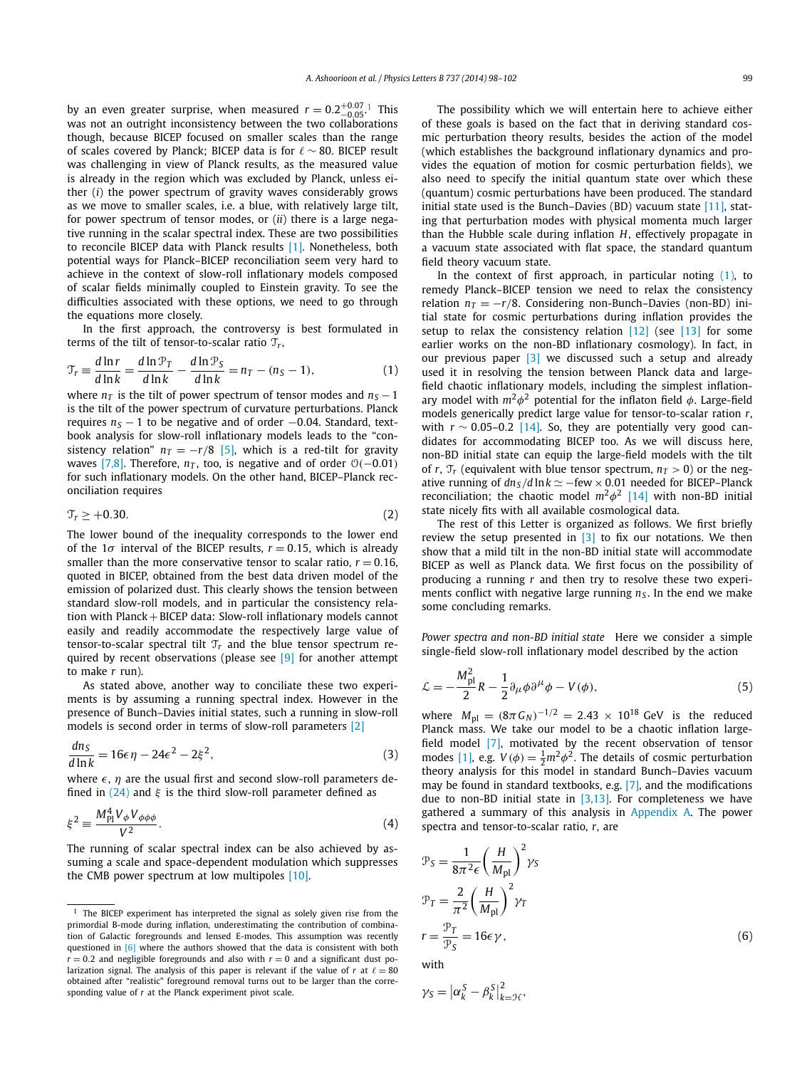<span id="page-1-0"></span>by an even greater surprise, when measured  $r = 0.2^{+0.07}_{-0.05}$ . This was not an outright inconsistency between the two collaborations though, because BICEP focused on smaller scales than the range of scales covered by Planck; BICEP data is for  $\ell \sim 80$ . BICEP result was challenging in view of Planck results, as the measured value is already in the region which was excluded by Planck, unless either (*i*) the power spectrum of gravity waves considerably grows as we move to smaller scales, i.e. a blue, with relatively large tilt, for power spectrum of tensor modes, or (*ii*) there is a large negative running in the scalar spectral index. These are two possibilities to reconcile BICEP data with Planck results [\[1\].](#page-4-0) Nonetheless, both potential ways for Planck–BICEP reconciliation seem very hard to achieve in the context of slow-roll inflationary models composed of scalar fields minimally coupled to Einstein gravity. To see the difficulties associated with these options, we need to go through the equations more closely.

In the first approach, the controversy is best formulated in terms of the tilt of tensor-to-scalar ratio  $\mathcal{T}_r$ ,

$$
\mathcal{T}_r \equiv \frac{d \ln r}{d \ln k} = \frac{d \ln \mathcal{P}_T}{d \ln k} - \frac{d \ln \mathcal{P}_S}{d \ln k} = n_T - (n_S - 1),\tag{1}
$$

where  $n<sub>T</sub>$  is the tilt of power spectrum of tensor modes and  $n<sub>S</sub> - 1$ is the tilt of the power spectrum of curvature perturbations. Planck requires  $n<sub>S</sub> - 1$  to be negative and of order −0.04. Standard, textbook analysis for slow-roll inflationary models leads to the "consistency relation"  $n_T = -r/8$  [\[5\],](#page-4-0) which is a red-tilt for gravity waves [\[7,8\].](#page-4-0) Therefore,  $n<sub>T</sub>$ , too, is negative and of order  $O(-0.01)$ for such inflationary models. On the other hand, BICEP–Planck reconciliation requires

$$
\mathcal{T}_r \geq +0.30.\tag{2}
$$

The lower bound of the inequality corresponds to the lower end of the  $1\sigma$  interval of the BICEP results,  $r = 0.15$ , which is already smaller than the more conservative tensor to scalar ratio,  $r = 0.16$ , quoted in BICEP, obtained from the best data driven model of the emission of polarized dust. This clearly shows the tension between standard slow-roll models, and in particular the consistency relation with Planck+BICEP data: Slow-roll inflationary models cannot easily and readily accommodate the respectively large value of tensor-to-scalar spectral tilt  $\mathcal{T}_r$  and the blue tensor spectrum required by recent observations (please see [\[9\]](#page-4-0) for another attempt to make *r* run).

As stated above, another way to conciliate these two experiments is by assuming a running spectral index. However in the presence of Bunch–Davies initial states, such a running in slow-roll models is second order in terms of slow-roll parameters [\[2\]](#page-4-0)

$$
\frac{dn_S}{d\ln k} = 16\epsilon\eta - 24\epsilon^2 - 2\xi^2,\tag{3}
$$

where  $\epsilon$ ,  $\eta$  are the usual first and second slow-roll parameters defined in [\(24\)](#page-3-0) and *ξ* is the third slow-roll parameter defined as

$$
\xi^2 \equiv \frac{M_{\rm Pl}^4 V_\phi V_{\phi\phi\phi}}{V^2}.\tag{4}
$$

The running of scalar spectral index can be also achieved by assuming a scale and space-dependent modulation which suppresses the CMB power spectrum at low multipoles [\[10\].](#page-4-0)

The possibility which we will entertain here to achieve either of these goals is based on the fact that in deriving standard cosmic perturbation theory results, besides the action of the model (which establishes the background inflationary dynamics and provides the equation of motion for cosmic perturbation fields), we also need to specify the initial quantum state over which these (quantum) cosmic perturbations have been produced. The standard initial state used is the Bunch–Davies (BD) vacuum state [\[11\],](#page-4-0) stating that perturbation modes with physical momenta much larger than the Hubble scale during inflation *H*, effectively propagate in a vacuum state associated with flat space, the standard quantum field theory vacuum state.

In the context of first approach, in particular noting  $(1)$ , to remedy Planck–BICEP tension we need to relax the consistency relation  $n_T = -r/8$ . Considering non-Bunch–Davies (non-BD) initial state for cosmic perturbations during inflation provides the setup to relax the consistency relation  $[12]$  (see  $[13]$  for some earlier works on the non-BD inflationary cosmology). In fact, in our previous paper [\[3\]](#page-4-0) we discussed such a setup and already used it in resolving the tension between Planck data and largefield chaotic inflationary models, including the simplest inflationary model with *m*<sup>2</sup>*φ*<sup>2</sup> potential for the inflaton field *φ*. Large-field models generically predict large value for tensor-to-scalar ration *r*, with *r* ∼ 0*.*05–0*.*2 [\[14\].](#page-4-0) So, they are potentially very good candidates for accommodating BICEP too. As we will discuss here, non-BD initial state can equip the large-field models with the tilt of *r*,  $\mathcal{T}_r$  (equivalent with blue tensor spectrum,  $n_T > 0$ ) or the negative running of  $dn<sub>S</sub>/d \ln k \simeq -few \times 0.01$  needed for BICEP–Planck reconciliation; the chaotic model *m*<sup>2</sup>*φ*<sup>2</sup> [\[14\]](#page-4-0) with non-BD initial state nicely fits with all available cosmological data.

The rest of this Letter is organized as follows. We first briefly review the setup presented in  $[3]$  to fix our notations. We then show that a mild tilt in the non-BD initial state will accommodate BICEP as well as Planck data. We first focus on the possibility of producing a running *r* and then try to resolve these two experiments conflict with negative large running  $n<sub>S</sub>$ . In the end we make some concluding remarks.

*Power spectra and non-BD initial state* Here we consider a simple single-field slow-roll inflationary model described by the action

$$
\mathcal{L} = -\frac{M_{\rm pl}^2}{2}R - \frac{1}{2}\partial_{\mu}\phi\partial^{\mu}\phi - V(\phi),\tag{5}
$$

where  $M_{\text{pl}} = (8\pi G_N)^{-1/2} = 2.43 \times 10^{18} \text{ GeV}$  is the reduced Planck mass. We take our model to be a chaotic inflation largefield model [\[7\],](#page-4-0) motivated by the recent observation of tensor modes [\[1\],](#page-4-0) e.g.  $V(\phi) = \frac{1}{2}m^2\phi^2$ . The details of cosmic perturbation theory analysis for this model in standard Bunch–Davies vacuum may be found in standard textbooks, e.g. [\[7\],](#page-4-0) and the modifications due to non-BD initial state in [\[3,13\].](#page-4-0) For completeness we have gathered a summary of this analysis in [Appendix A.](#page-3-0) The power spectra and tensor-to-scalar ratio, *r*, are

$$
\mathcal{P}_{S} = \frac{1}{8\pi^{2}\epsilon} \left(\frac{H}{M_{\text{pl}}}\right)^{2} \gamma_{S}
$$
  

$$
\mathcal{P}_{T} = \frac{2}{\pi^{2}} \left(\frac{H}{M_{\text{pl}}}\right)^{2} \gamma_{T}
$$
  

$$
r = \frac{\mathcal{P}_{T}}{\mathcal{P}_{S}} = 16\epsilon \gamma,
$$
 (6)

with

$$
\gamma_S = |\alpha_k^S - \beta_k^S|_{k=\mathcal{H}}^2,
$$

 $1$  The BICEP experiment has interpreted the signal as solely given rise from the primordial B-mode during inflation, underestimating the contribution of combination of Galactic foregrounds and lensed E-modes. This assumption was recently questioned in [\[6\]](#page-4-0) where the authors showed that the data is consistent with both  $r = 0.2$  and negligible foregrounds and also with  $r = 0$  and a significant dust polarization signal. The analysis of this paper is relevant if the value of *r* at  $\ell = 80$ obtained after "realistic" foreground removal turns out to be larger than the corresponding value of *r* at the Planck experiment pivot scale.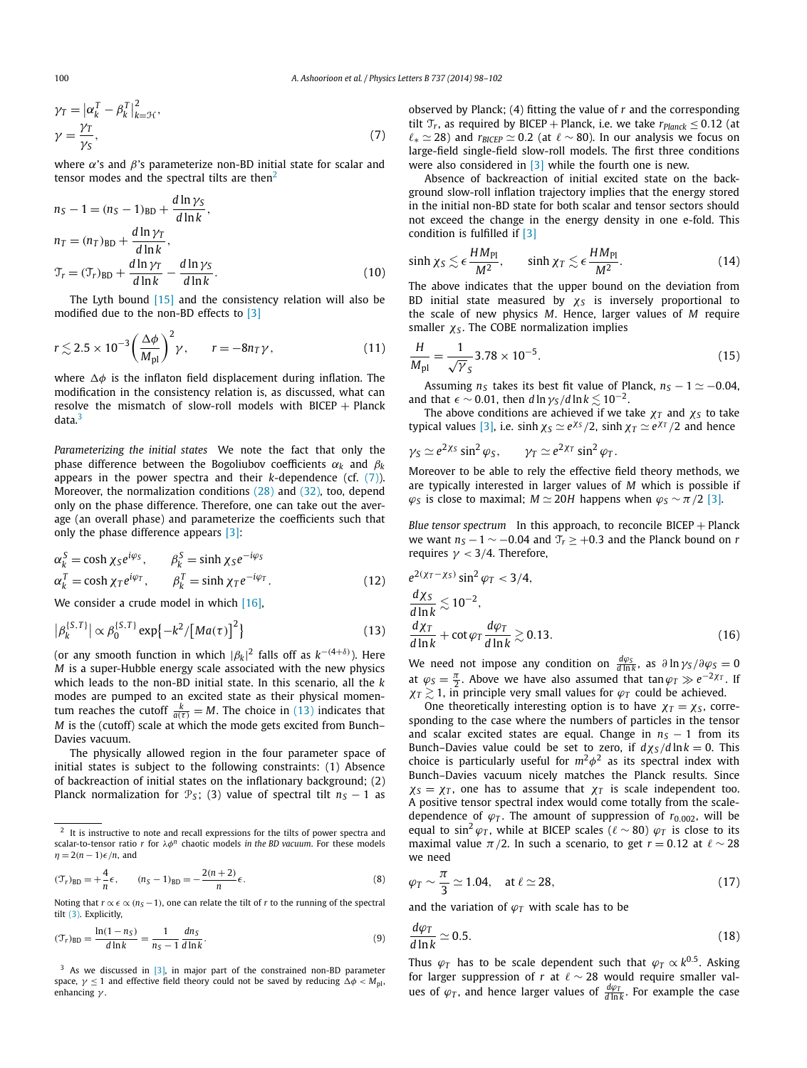$$
\gamma_T = |\alpha_k^T - \beta_k^T|_{k=\mathcal{H}}^2,
$$
  

$$
\gamma = \frac{\gamma_T}{\gamma_S},
$$
 (7)

where *α*'s and *β*'s parameterize non-BD initial state for scalar and tensor modes and the spectral tilts are then $2$ 

$$
n_S - 1 = (n_S - 1)_{BD} + \frac{d \ln \gamma_S}{d \ln k},
$$
  
\n
$$
n_T = (n_T)_{BD} + \frac{d \ln \gamma_T}{d \ln k},
$$
  
\n
$$
\mathcal{T}_r = (\mathcal{T}_r)_{BD} + \frac{d \ln \gamma_T}{d \ln k} - \frac{d \ln \gamma_S}{d \ln k}.
$$
\n(10)

The Lyth bound [\[15\]](#page-4-0) and the consistency relation will also be modified due to the non-BD effects to [\[3\]](#page-4-0)

$$
r \lesssim 2.5 \times 10^{-3} \left(\frac{\Delta \phi}{M_{\text{pl}}}\right)^2 \gamma, \qquad r = -8n_T \gamma,
$$
 (11)

where  $\Delta\phi$  is the inflaton field displacement during inflation. The modification in the consistency relation is, as discussed, what can resolve the mismatch of slow-roll models with BICEP + Planck data.<sup>3</sup>

*Parameterizing the initial states* We note the fact that only the phase difference between the Bogoliubov coefficients  $\alpha_k$  and  $\beta_k$ appears in the power spectra and their *k*-dependence (cf. [\(7\)\)](#page-1-0). Moreover, the normalization conditions [\(28\)](#page-4-0) and [\(32\),](#page-4-0) too, depend only on the phase difference. Therefore, one can take out the average (an overall phase) and parameterize the coefficients such that only the phase difference appears [\[3\]:](#page-4-0)

$$
\alpha_k^S = \cosh \chi_S e^{i\varphi_S}, \qquad \beta_k^S = \sinh \chi_S e^{-i\varphi_S}
$$
  
\n
$$
\alpha_k^T = \cosh \chi_T e^{i\varphi_T}, \qquad \beta_k^T = \sinh \chi_T e^{-i\varphi_T}.
$$
 (12)

We consider a crude model in which [\[16\],](#page-4-0)

$$
|\beta_k^{\{S,T\}}| \propto \beta_0^{\{S,T\}} \exp\{-k^2/[Ma(\tau)]^2\}
$$
 (13)

(or any smooth function in which |*βk*| <sup>2</sup> falls off as *k*−*(*4+*δ)*). Here *M* is a super-Hubble energy scale associated with the new physics which leads to the non-BD initial state. In this scenario, all the *k* modes are pumped to an excited state as their physical momentum reaches the cutoff  $\frac{k}{a(\tau)} = M$ . The choice in (13) indicates that *M* is the (cutoff) scale at which the mode gets excited from Bunch– Davies vacuum.

The physically allowed region in the four parameter space of initial states is subject to the following constraints: (1) Absence of backreaction of initial states on the inflationary background; (2) Planck normalization for  $\mathcal{P}_S$ ; (3) value of spectral tilt  $n_S - 1$  as

$$
(\mathcal{T}_r)_{BD} = +\frac{4}{n}\epsilon, \qquad (n_S - 1)_{BD} = -\frac{2(n+2)}{n}\epsilon.
$$
 (8)

Noting that  $r \propto \epsilon \propto (n_S - 1)$ , one can relate the tilt of *r* to the running of the spectral tilt [\(3\).](#page-1-0) Explicitly,

$$
(\mathcal{T}_r)_{\text{BD}} = \frac{\ln(1 - n_S)}{d \ln k} = \frac{1}{n_S - 1} \frac{dn_S}{d \ln k}.
$$
 (9)

 $3$  As we discussed in  $[3]$ , in major part of the constrained non-BD parameter space,  $γ ≤ 1$  and effective field theory could not be saved by reducing  $Δφ < M<sub>pl</sub>$ , enhancing *γ* .

observed by Planck; (4) fitting the value of *r* and the corresponding tilt  $\mathcal{T}_r$ , as required by BICEP + Planck, i.e. we take  $r_{Planck} \leq 0.12$  (at  $\ell_{*} \simeq 28$ ) and  $r_{BICEP} \simeq 0.2$  (at  $\ell \sim 80$ ). In our analysis we focus on large-field single-field slow-roll models. The first three conditions were also considered in [\[3\]](#page-4-0) while the fourth one is new.

Absence of backreaction of initial excited state on the background slow-roll inflation trajectory implies that the energy stored in the initial non-BD state for both scalar and tensor sectors should not exceed the change in the energy density in one e-fold. This condition is fulfilled if [\[3\]](#page-4-0)

$$
\sinh \chi_S \lesssim \epsilon \frac{HM_{\rm Pl}}{M^2}, \qquad \sinh \chi_T \lesssim \epsilon \frac{HM_{\rm Pl}}{M^2}.
$$
 (14)

The above indicates that the upper bound on the deviation from BD initial state measured by *χ<sup>S</sup>* is inversely proportional to the scale of new physics *M*. Hence, larger values of *M* require smaller *χ<sup>S</sup>* . The COBE normalization implies

$$
\frac{H}{M_{\rm pl}} = \frac{1}{\sqrt{\gamma}} 3.78 \times 10^{-5}.
$$
 (15)

Assuming  $n<sub>S</sub>$  takes its best fit value of Planck,  $n<sub>S</sub> - 1 \approx -0.04$ , and that  $\epsilon \sim 0.01$ , then  $d \ln \gamma_s / d \ln k \lesssim 10^{-2}$ .

The above conditions are achieved if we take  $\chi_T$  and  $\chi_S$  to take typical values [\[3\],](#page-4-0) i.e. sinh  $\chi_S \simeq e^{\chi_S}/2$ , sinh  $\chi_T \simeq e^{\chi_T}/2$  and hence

$$
\gamma_S \simeq e^{2\chi_S} \sin^2 \varphi_S
$$
,  $\gamma_T \simeq e^{2\chi_T} \sin^2 \varphi_T$ .

Moreover to be able to rely the effective field theory methods, we are typically interested in larger values of *M* which is possible if  $\varphi$ <sup>*S*</sup> is close to maximal; *M* ≥ 20*H* happens when  $\varphi$ <sup>*S*</sup> ∼ *π* /2 [\[3\].](#page-4-0)

*Blue tensor spectrum* In this approach, to reconcile BICEP + Planck we want  $n_S - 1 \sim -0.04$  and  $T_r \ge +0.3$  and the Planck bound on *r* requires *γ <* 3*/*4. Therefore,

$$
e^{2(\chi_T - \chi_S)} \sin^2 \varphi_T < 3/4,
$$
  
\n
$$
\frac{d\chi_S}{d \ln k} \lesssim 10^{-2},
$$
  
\n
$$
\frac{d\chi_T}{d \ln k} + \cot \varphi_T \frac{d\varphi_T}{d \ln k} \gtrsim 0.13.
$$
\n(16)

We need not impose any condition on  $\frac{d\varphi_S}{d\ln k}$ , as  $\partial \ln \gamma_S / \partial \varphi_S = 0$ at  $\varphi_S = \frac{\pi}{2}$ . Above we have also assumed that tan  $\varphi_T \gg e^{-2\chi_T}$ . If  $\chi$ *T*  $\gtrsim$  1, in principle very small values for  $\varphi$ *T* could be achieved.

One theoretically interesting option is to have  $\chi_T = \chi_S$ , corresponding to the case where the numbers of particles in the tensor and scalar excited states are equal. Change in  $n<sub>S</sub> - 1$  from its Bunch–Davies value could be set to zero, if  $d\chi_S/d\ln k = 0$ . This choice is particularly useful for  $m^2\phi^2$  as its spectral index with Bunch–Davies vacuum nicely matches the Planck results. Since  $\chi$ <sub>*S*</sub> =  $\chi$ *T*, one has to assume that  $\chi$ *T* is scale independent too. A positive tensor spectral index would come totally from the scaledependence of  $\varphi_T$ . The amount of suppression of  $r_{0.002}$ , will be equal to sin<sup>2</sup>  $\varphi_T$ , while at BICEP scales ( $\ell \sim 80$ )  $\varphi_T$  is close to its maximal value  $\pi/2$ . In such a scenario, to get  $r = 0.12$  at  $\ell \sim 28$ we need

$$
\varphi_T \sim \frac{\pi}{3} \simeq 1.04, \quad \text{at } \ell \simeq 28,\tag{17}
$$

and the variation of  $\varphi_T$  with scale has to be

$$
\frac{d\varphi_T}{d\ln k} \simeq 0.5. \tag{18}
$$

Thus  $\varphi_T$  has to be scale dependent such that  $\varphi_T \propto k^{0.5}$ . Asking for larger suppression of  $r$  at  $\ell \sim 28$  would require smaller values of  $\varphi_T$ , and hence larger values of  $\frac{d\varphi_T}{d\ln k}$ . For example the case

<sup>&</sup>lt;sup>2</sup> It is instructive to note and recall expressions for the tilts of power spectra and scalar-to-tensor ratio *r* for *λφ<sup>n</sup>* chaotic models *in the BD vacuum*. For these models  $n = 2(n - 1)\epsilon/n$ , and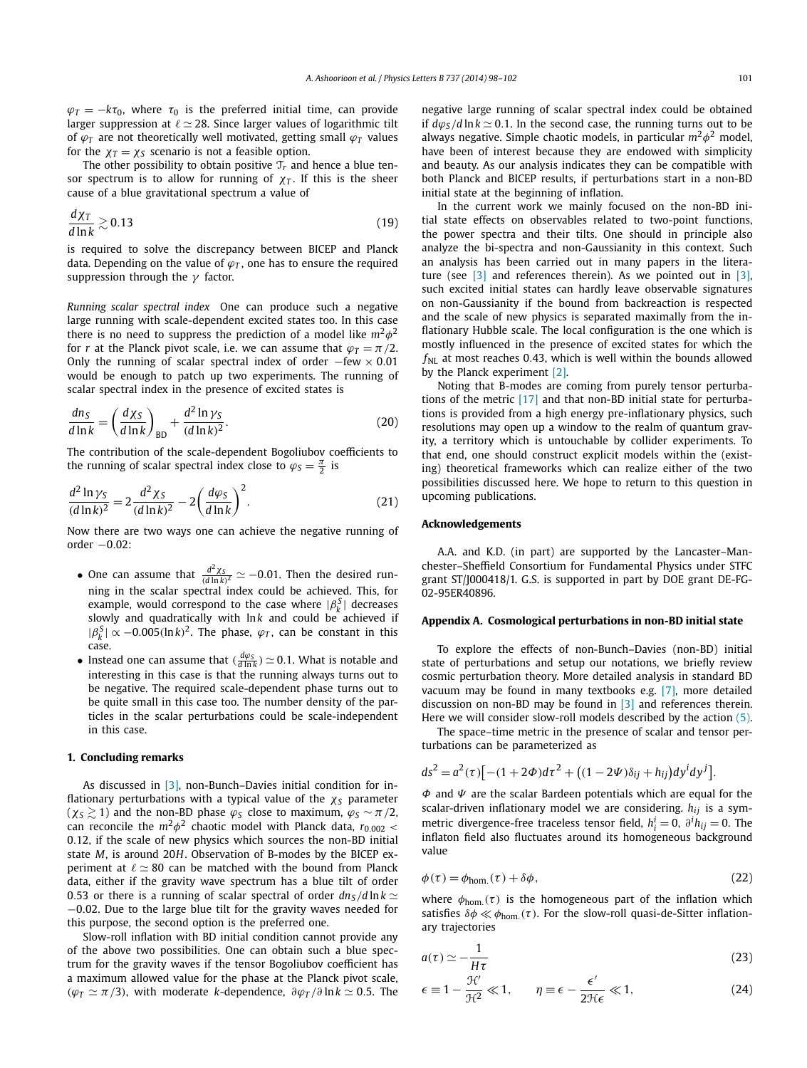<span id="page-3-0"></span> $\varphi_T = -k\tau_0$ , where  $\tau_0$  is the preferred initial time, can provide larger suppression at  $\ell \simeq 28$ . Since larger values of logarithmic tilt of  $\varphi_T$  are not theoretically well motivated, getting small  $\varphi_T$  values for the  $\chi_T = \chi_S$  scenario is not a feasible option.

The other possibility to obtain positive  $\mathcal{T}_r$  and hence a blue tensor spectrum is to allow for running of  $\chi$ <sup>T</sup>. If this is the sheer cause of a blue gravitational spectrum a value of

$$
\frac{d\chi_T}{d\ln k} \gtrsim 0.13\tag{19}
$$

is required to solve the discrepancy between BICEP and Planck data. Depending on the value of  $\varphi$ <sup>*T*</sup>, one has to ensure the required suppression through the *γ* factor.

*Running scalar spectral index* One can produce such a negative large running with scale-dependent excited states too. In this case there is no need to suppress the prediction of a model like  $m^2\phi^2$ for *r* at the Planck pivot scale, i.e. we can assume that  $\varphi_T = \pi/2$ . Only the running of scalar spectral index of order −few × 0*.*01 would be enough to patch up two experiments. The running of scalar spectral index in the presence of excited states is

$$
\frac{dn_S}{d\ln k} = \left(\frac{d\chi_S}{d\ln k}\right)_{BD} + \frac{d^2\ln\gamma_S}{(d\ln k)^2}.
$$
\n(20)

The contribution of the scale-dependent Bogoliubov coefficients to the running of scalar spectral index close to  $\varphi_S = \frac{\pi}{2}$  is

$$
\frac{d^2 \ln \gamma_S}{(d \ln k)^2} = 2 \frac{d^2 \chi_S}{(d \ln k)^2} - 2 \left(\frac{d \varphi_S}{d \ln k}\right)^2.
$$
 (21)

Now there are two ways one can achieve the negative running of order −0*.*02:

- One can assume that  $\frac{d^2\chi_S}{(d\ln k)^2} \simeq -0.01$ . Then the desired running in the scalar spectral index could be achieved. This, for example, would correspond to the case where  $|\beta_k^S|$  decreases slowly and quadratically with lnk and could be achieved if  $|\beta_k^S| \propto -0.005(\ln k)^2$ . The phase,  $\varphi_T$ , can be constant in this case.
- Instead one can assume that  $(\frac{d\varphi_S}{d\ln k}) \simeq 0.1$ . What is notable and interesting in this case is that the running always turns out to be negative. The required scale-dependent phase turns out to be quite small in this case too. The number density of the particles in the scalar perturbations could be scale-independent in this case.

# **1. Concluding remarks**

As discussed in [\[3\],](#page-4-0) non-Bunch–Davies initial condition for inflationary perturbations with a typical value of the *χ<sup>S</sup>* parameter  $(\chi_s \geq 1)$  and the non-BD phase  $\varphi_s$  close to maximum,  $\varphi_s \sim \pi/2$ , can reconcile the  $m^2\phi^2$  chaotic model with Planck data,  $r_{0.002}$  < 0*.*12, if the scale of new physics which sources the non-BD initial state *M*, is around 20*H*. Observation of B-modes by the BICEP experiment at  $\ell \simeq 80$  can be matched with the bound from Planck data, either if the gravity wave spectrum has a blue tilt of order 0.53 or there is a running of scalar spectral of order  $dn<sub>S</sub>/d \ln k \simeq$ −0*.*02. Due to the large blue tilt for the gravity waves needed for this purpose, the second option is the preferred one.

Slow-roll inflation with BD initial condition cannot provide any of the above two possibilities. One can obtain such a blue spectrum for the gravity waves if the tensor Bogoliubov coefficient has a maximum allowed value for the phase at the Planck pivot scale,  $(\varphi_T \simeq \pi/3)$ , with moderate *k*-dependence,  $\partial \varphi_T / \partial \ln k \simeq 0.5$ . The negative large running of scalar spectral index could be obtained if  $d\varphi_s/d\ln k \simeq 0.1$ . In the second case, the running turns out to be always negative. Simple chaotic models, in particular  $m^2\phi^2$  model, have been of interest because they are endowed with simplicity and beauty. As our analysis indicates they can be compatible with both Planck and BICEP results, if perturbations start in a non-BD initial state at the beginning of inflation.

In the current work we mainly focused on the non-BD initial state effects on observables related to two-point functions, the power spectra and their tilts. One should in principle also analyze the bi-spectra and non-Gaussianity in this context. Such an analysis has been carried out in many papers in the literature (see  $\begin{bmatrix} 3 \end{bmatrix}$  and references therein). As we pointed out in  $\begin{bmatrix} 3 \end{bmatrix}$ , such excited initial states can hardly leave observable signatures on non-Gaussianity if the bound from backreaction is respected and the scale of new physics is separated maximally from the inflationary Hubble scale. The local configuration is the one which is mostly influenced in the presence of excited states for which the *f<sub>NL</sub>* at most reaches 0.43, which is well within the bounds allowed by the Planck experiment [\[2\].](#page-4-0)

Noting that B-modes are coming from purely tensor perturbations of the metric [\[17\]](#page-4-0) and that non-BD initial state for perturbations is provided from a high energy pre-inflationary physics, such resolutions may open up a window to the realm of quantum gravity, a territory which is untouchable by collider experiments. To that end, one should construct explicit models within the (existing) theoretical frameworks which can realize either of the two possibilities discussed here. We hope to return to this question in upcoming publications.

# **Acknowledgements**

A.A. and K.D. (in part) are supported by the Lancaster–Manchester–Sheffield Consortium for Fundamental Physics under STFC grant ST/J000418/1. G.S. is supported in part by DOE grant DE-FG-02-95ER40896.

# **Appendix A. Cosmological perturbations in non-BD initial state**

To explore the effects of non-Bunch–Davies (non-BD) initial state of perturbations and setup our notations, we briefly review cosmic perturbation theory. More detailed analysis in standard BD vacuum may be found in many textbooks e.g. [\[7\],](#page-4-0) more detailed discussion on non-BD may be found in [\[3\]](#page-4-0) and references therein. Here we will consider slow-roll models described by the action [\(5\).](#page-1-0)

The space–time metric in the presence of scalar and tensor perturbations can be parameterized as

$$
ds^{2} = a^{2}(\tau)[-(1+2\Phi)d\tau^{2} + ((1-2\Psi)\delta_{ij} + h_{ij})dy^{i}dy^{j}].
$$

*Φ* and *Ψ* are the scalar Bardeen potentials which are equal for the scalar-driven inflationary model we are considering. *hij* is a symmetric divergence-free traceless tensor field,  $h_i^i = 0$ ,  $\partial^i h_{ij} = 0$ . The inflaton field also fluctuates around its homogeneous background value

$$
\phi(\tau) = \phi_{\text{hom.}}(\tau) + \delta\phi,\tag{22}
$$

where  $\phi_{\text{hom.}}(\tau)$  is the homogeneous part of the inflation which satisfies  $\delta\phi \ll \phi_{\text{hom.}}(\tau)$ . For the slow-roll quasi-de-Sitter inflationary trajectories

$$
a(\tau) \simeq -\frac{1}{H\tau} \tag{23}
$$

$$
\epsilon \equiv 1 - \frac{\mathcal{H}'}{\mathcal{H}^2} \ll 1, \qquad \eta \equiv \epsilon - \frac{\epsilon'}{2\mathcal{H}\epsilon} \ll 1,
$$
 (24)